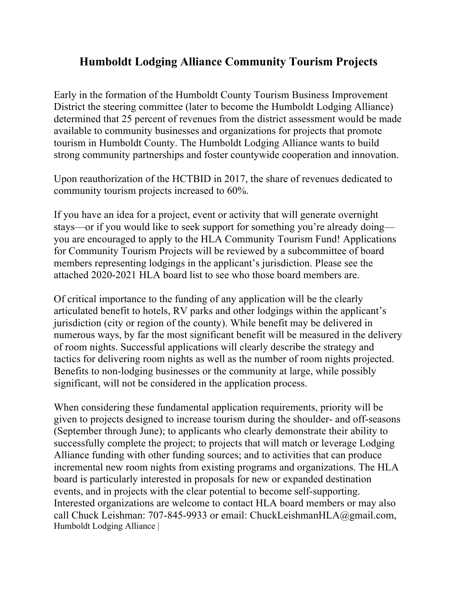## **Humboldt Lodging Alliance Community Tourism Projects**

Early in the formation of the Humboldt County Tourism Business Improvement District the steering committee (later to become the Humboldt Lodging Alliance) determined that 25 percent of revenues from the district assessment would be made available to community businesses and organizations for projects that promote tourism in Humboldt County. The Humboldt Lodging Alliance wants to build strong community partnerships and foster countywide cooperation and innovation.

Upon reauthorization of the HCTBID in 2017, the share of revenues dedicated to community tourism projects increased to 60%.

If you have an idea for a project, event or activity that will generate overnight stays—or if you would like to seek support for something you're already doing you are encouraged to apply to the HLA Community Tourism Fund! Applications for Community Tourism Projects will be reviewed by a subcommittee of board members representing lodgings in the applicant's jurisdiction. Please see the attached 2020-2021 HLA board list to see who those board members are.

Of critical importance to the funding of any application will be the clearly articulated benefit to hotels, RV parks and other lodgings within the applicant's jurisdiction (city or region of the county). While benefit may be delivered in numerous ways, by far the most significant benefit will be measured in the delivery of room nights. Successful applications will clearly describe the strategy and tactics for delivering room nights as well as the number of room nights projected. Benefits to non-lodging businesses or the community at large, while possibly significant, will not be considered in the application process.

When considering these fundamental application requirements, priority will be given to projects designed to increase tourism during the shoulder- and off-seasons (September through June); to applicants who clearly demonstrate their ability to successfully complete the project; to projects that will match or leverage Lodging Alliance funding with other funding sources; and to activities that can produce incremental new room nights from existing programs and organizations. The HLA board is particularly interested in proposals for new or expanded destination events, and in projects with the clear potential to become self-supporting. Interested organizations are welcome to contact HLA board members or may also call Chuck Leishman: 707-845-9933 or email: ChuckLeishmanHLA@gmail.com, Humboldt Lodging Alliance |